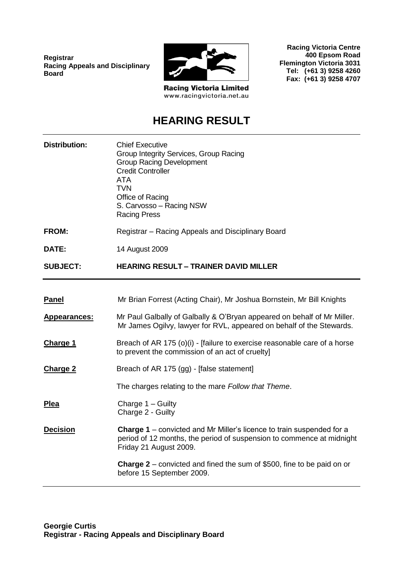**Registrar Racing Appeals and Disciplinary Board**



**Racing Victoria Centre 400 Epsom Road**

**Flemington Victoria 3031 Tel: (+61 3) 9258 4260 Fax: (+61 3) 9258 4707**

**Racing Victoria Limited** www.racingvictoria.net.au

## **HEARING RESULT**

| <b>Distribution:</b> | <b>Chief Executive</b><br>Group Integrity Services, Group Racing<br><b>Group Racing Development</b><br><b>Credit Controller</b><br><b>ATA</b><br><b>TVN</b><br>Office of Racing<br>S. Carvosso - Racing NSW<br><b>Racing Press</b> |
|----------------------|------------------------------------------------------------------------------------------------------------------------------------------------------------------------------------------------------------------------------------|
| <b>FROM:</b>         | Registrar – Racing Appeals and Disciplinary Board                                                                                                                                                                                  |
| DATE:                | 14 August 2009                                                                                                                                                                                                                     |
| <b>SUBJECT:</b>      | <b>HEARING RESULT - TRAINER DAVID MILLER</b>                                                                                                                                                                                       |
|                      |                                                                                                                                                                                                                                    |
| <b>Panel</b>         | Mr Brian Forrest (Acting Chair), Mr Joshua Bornstein, Mr Bill Knights                                                                                                                                                              |
| <b>Appearances:</b>  | Mr Paul Galbally of Galbally & O'Bryan appeared on behalf of Mr Miller.<br>Mr James Ogilvy, lawyer for RVL, appeared on behalf of the Stewards.                                                                                    |
| <b>Charge 1</b>      | Breach of AR 175 (o)(i) - [failure to exercise reasonable care of a horse<br>to prevent the commission of an act of cruelty]                                                                                                       |
| <b>Charge 2</b>      | Breach of AR 175 (gg) - [false statement]                                                                                                                                                                                          |
|                      | The charges relating to the mare Follow that Theme.                                                                                                                                                                                |
| <b>Plea</b>          | Charge 1 - Guilty<br>Charge 2 - Guilty                                                                                                                                                                                             |
| <b>Decision</b>      | <b>Charge 1</b> – convicted and Mr Miller's licence to train suspended for a<br>period of 12 months, the period of suspension to commence at midnight<br>Friday 21 August 2009.                                                    |
|                      | <b>Charge 2</b> – convicted and fined the sum of \$500, fine to be paid on or<br>before 15 September 2009.                                                                                                                         |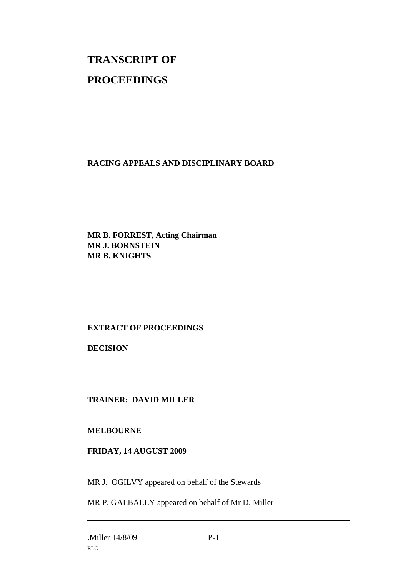# **TRANSCRIPT OF PROCEEDINGS**

#### **RACING APPEALS AND DISCIPLINARY BOARD**

\_\_\_\_\_\_\_\_\_\_\_\_\_\_\_\_\_\_\_\_\_\_\_\_\_\_\_\_\_\_\_\_\_\_\_\_\_\_\_\_\_\_\_\_\_\_\_\_\_\_\_\_\_\_\_\_\_\_\_\_\_\_\_

**MR B. FORREST, Acting Chairman MR J. BORNSTEIN MR B. KNIGHTS**

### **EXTRACT OF PROCEEDINGS**

**DECISION**

#### **TRAINER: DAVID MILLER**

#### **MELBOURNE**

#### **FRIDAY, 14 AUGUST 2009**

MR J. OGILVY appeared on behalf of the Stewards

MR P. GALBALLY appeared on behalf of Mr D. Miller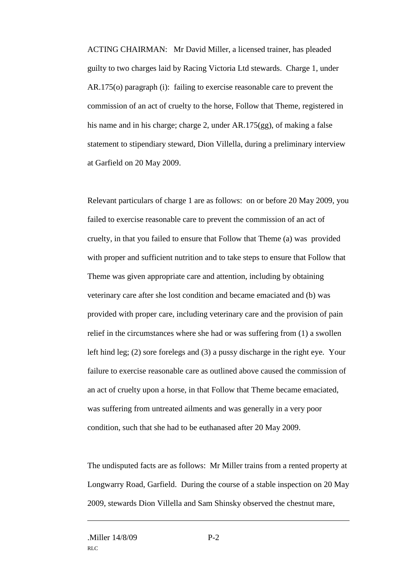ACTING CHAIRMAN: Mr David Miller, a licensed trainer, has pleaded guilty to two charges laid by Racing Victoria Ltd stewards. Charge 1, under AR.175(o) paragraph (i): failing to exercise reasonable care to prevent the commission of an act of cruelty to the horse, Follow that Theme, registered in his name and in his charge; charge 2, under AR.175(gg), of making a false statement to stipendiary steward, Dion Villella, during a preliminary interview at Garfield on 20 May 2009.

Relevant particulars of charge 1 are as follows: on or before 20 May 2009, you failed to exercise reasonable care to prevent the commission of an act of cruelty, in that you failed to ensure that Follow that Theme (a) was provided with proper and sufficient nutrition and to take steps to ensure that Follow that Theme was given appropriate care and attention, including by obtaining veterinary care after she lost condition and became emaciated and (b) was provided with proper care, including veterinary care and the provision of pain relief in the circumstances where she had or was suffering from (1) a swollen left hind leg; (2) sore forelegs and (3) a pussy discharge in the right eye. Your failure to exercise reasonable care as outlined above caused the commission of an act of cruelty upon a horse, in that Follow that Theme became emaciated, was suffering from untreated ailments and was generally in a very poor condition, such that she had to be euthanased after 20 May 2009.

The undisputed facts are as follows: Mr Miller trains from a rented property at Longwarry Road, Garfield. During the course of a stable inspection on 20 May 2009, stewards Dion Villella and Sam Shinsky observed the chestnut mare,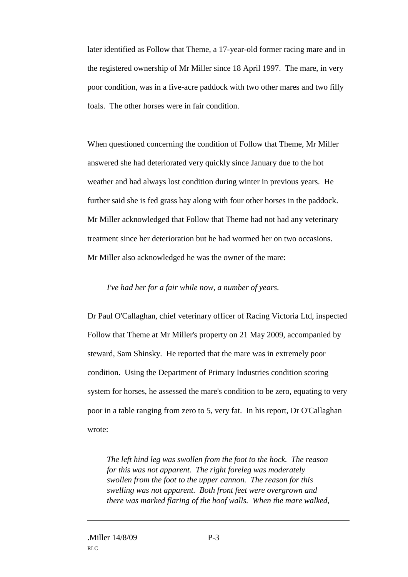later identified as Follow that Theme, a 17-year-old former racing mare and in the registered ownership of Mr Miller since 18 April 1997. The mare, in very poor condition, was in a five-acre paddock with two other mares and two filly foals. The other horses were in fair condition.

When questioned concerning the condition of Follow that Theme, Mr Miller answered she had deteriorated very quickly since January due to the hot weather and had always lost condition during winter in previous years. He further said she is fed grass hay along with four other horses in the paddock. Mr Miller acknowledged that Follow that Theme had not had any veterinary treatment since her deterioration but he had wormed her on two occasions. Mr Miller also acknowledged he was the owner of the mare:

#### *I've had her for a fair while now, a number of years.*

Dr Paul O'Callaghan, chief veterinary officer of Racing Victoria Ltd, inspected Follow that Theme at Mr Miller's property on 21 May 2009, accompanied by steward, Sam Shinsky. He reported that the mare was in extremely poor condition. Using the Department of Primary Industries condition scoring system for horses, he assessed the mare's condition to be zero, equating to very poor in a table ranging from zero to 5, very fat. In his report, Dr O'Callaghan wrote:

*The left hind leg was swollen from the foot to the hock. The reason for this was not apparent. The right foreleg was moderately swollen from the foot to the upper cannon. The reason for this swelling was not apparent. Both front feet were overgrown and there was marked flaring of the hoof walls. When the mare walked,*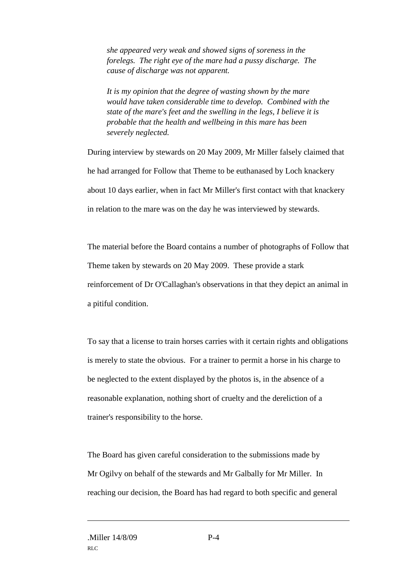*she appeared very weak and showed signs of soreness in the forelegs. The right eye of the mare had a pussy discharge. The cause of discharge was not apparent.* 

*It is my opinion that the degree of wasting shown by the mare would have taken considerable time to develop. Combined with the state of the mare's feet and the swelling in the legs, I believe it is probable that the health and wellbeing in this mare has been severely neglected.*

During interview by stewards on 20 May 2009, Mr Miller falsely claimed that he had arranged for Follow that Theme to be euthanased by Loch knackery about 10 days earlier, when in fact Mr Miller's first contact with that knackery in relation to the mare was on the day he was interviewed by stewards.

The material before the Board contains a number of photographs of Follow that Theme taken by stewards on 20 May 2009. These provide a stark reinforcement of Dr O'Callaghan's observations in that they depict an animal in a pitiful condition.

To say that a license to train horses carries with it certain rights and obligations is merely to state the obvious. For a trainer to permit a horse in his charge to be neglected to the extent displayed by the photos is, in the absence of a reasonable explanation, nothing short of cruelty and the dereliction of a trainer's responsibility to the horse.

The Board has given careful consideration to the submissions made by Mr Ogilvy on behalf of the stewards and Mr Galbally for Mr Miller. In reaching our decision, the Board has had regard to both specific and general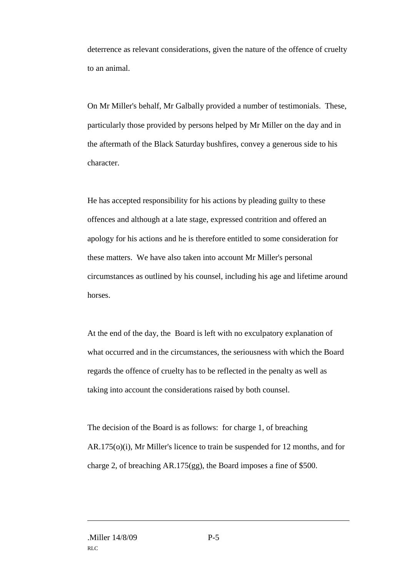deterrence as relevant considerations, given the nature of the offence of cruelty to an animal.

On Mr Miller's behalf, Mr Galbally provided a number of testimonials. These, particularly those provided by persons helped by Mr Miller on the day and in the aftermath of the Black Saturday bushfires, convey a generous side to his character.

He has accepted responsibility for his actions by pleading guilty to these offences and although at a late stage, expressed contrition and offered an apology for his actions and he is therefore entitled to some consideration for these matters. We have also taken into account Mr Miller's personal circumstances as outlined by his counsel, including his age and lifetime around horses.

At the end of the day, the Board is left with no exculpatory explanation of what occurred and in the circumstances, the seriousness with which the Board regards the offence of cruelty has to be reflected in the penalty as well as taking into account the considerations raised by both counsel.

The decision of the Board is as follows: for charge 1, of breaching AR.175(o)(i), Mr Miller's licence to train be suspended for 12 months, and for charge 2, of breaching AR.175(gg), the Board imposes a fine of \$500.